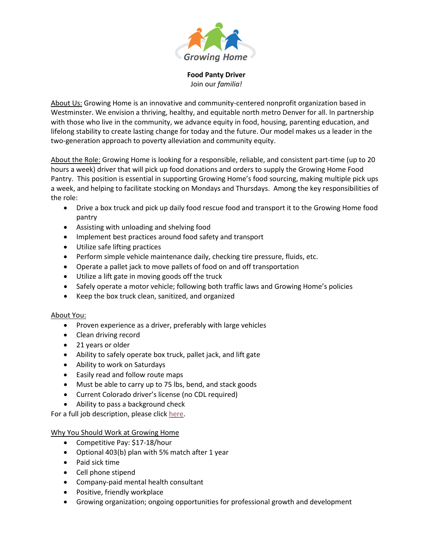

**Food Panty Driver** Join our *familia!*

About Us: Growing Home is an innovative and community-centered nonprofit organization based in Westminster. We envision a thriving, healthy, and equitable north metro Denver for all. In partnership with those who live in the community, we advance equity in food, housing, parenting education, and lifelong stability to create lasting change for today and the future. Our model makes us a leader in the two-generation approach to poverty alleviation and community equity.

About the Role: Growing Home is looking for a responsible, reliable, and consistent part-time (up to 20 hours a week) driver that will pick up food donations and orders to supply the Growing Home Food Pantry. This position is essential in supporting Growing Home's food sourcing, making multiple pick ups a week, and helping to facilitate stocking on Mondays and Thursdays. Among the key responsibilities of the role:

- Drive a box truck and pick up daily food rescue food and transport it to the Growing Home food pantry
- Assisting with unloading and shelving food
- Implement best practices around food safety and transport
- Utilize safe lifting practices
- Perform simple vehicle maintenance daily, checking tire pressure, fluids, etc.
- Operate a pallet jack to move pallets of food on and off transportation
- Utilize a lift gate in moving goods off the truck
- Safely operate a motor vehicle; following both traffic laws and Growing Home's policies
- Keep the box truck clean, sanitized, and organized

## About You:

- Proven experience as a driver, preferably with large vehicles
- Clean driving record
- 21 years or older
- Ability to safely operate box truck, pallet jack, and lift gate
- Ability to work on Saturdays
- Easily read and follow route maps
- Must be able to carry up to 75 lbs, bend, and stack goods
- Current Colorado driver's license (no CDL required)
- Ability to pass a background check

For a full job description, please click [here.](https://growinghome.org/wp-content/uploads/2022/03/Food-Pantry-Driver-Job-Description.pdf)

## Why You Should Work at Growing Home

- Competitive Pay: \$17-18/hour
- Optional 403(b) plan with 5% match after 1 year
- Paid sick time
- Cell phone stipend
- Company-paid mental health consultant
- Positive, friendly workplace
- Growing organization; ongoing opportunities for professional growth and development